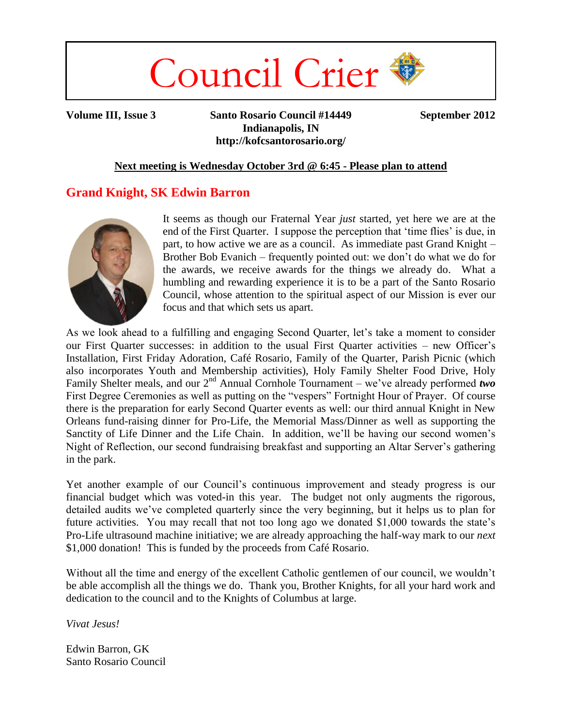

**Volume III, Issue 3 Santo Rosario Council #14449 September 2012 Indianapolis, IN http://kofcsantorosario.org/**

#### **Next meeting is Wednesday October 3rd @ 6:45 - Please plan to attend**

### **Grand Knight, SK Edwin Barron**



It seems as though our Fraternal Year *just* started, yet here we are at the end of the First Quarter. I suppose the perception that 'time flies' is due, in part, to how active we are as a council. As immediate past Grand Knight – Brother Bob Evanich – frequently pointed out: we don't do what we do for the awards, we receive awards for the things we already do. What a humbling and rewarding experience it is to be a part of the Santo Rosario Council, whose attention to the spiritual aspect of our Mission is ever our focus and that which sets us apart.

As we look ahead to a fulfilling and engaging Second Quarter, let's take a moment to consider our First Quarter successes: in addition to the usual First Quarter activities – new Officer's Installation, First Friday Adoration, Café Rosario, Family of the Quarter, Parish Picnic (which also incorporates Youth and Membership activities), Holy Family Shelter Food Drive, Holy Family Shelter meals, and our 2<sup>nd</sup> Annual Cornhole Tournament – we've already performed *two* First Degree Ceremonies as well as putting on the "vespers" Fortnight Hour of Prayer. Of course there is the preparation for early Second Quarter events as well: our third annual Knight in New Orleans fund-raising dinner for Pro-Life, the Memorial Mass/Dinner as well as supporting the Sanctity of Life Dinner and the Life Chain. In addition, we'll be having our second women's Night of Reflection, our second fundraising breakfast and supporting an Altar Server's gathering in the park.

Yet another example of our Council's continuous improvement and steady progress is our financial budget which was voted-in this year. The budget not only augments the rigorous, detailed audits we've completed quarterly since the very beginning, but it helps us to plan for future activities. You may recall that not too long ago we donated \$1,000 towards the state's Pro-Life ultrasound machine initiative; we are already approaching the half-way mark to our *next* \$1,000 donation! This is funded by the proceeds from Café Rosario.

Without all the time and energy of the excellent Catholic gentlemen of our council, we wouldn't be able accomplish all the things we do. Thank you, Brother Knights, for all your hard work and dedication to the council and to the Knights of Columbus at large.

*Vivat Jesus!*

Edwin Barron, GK Santo Rosario Council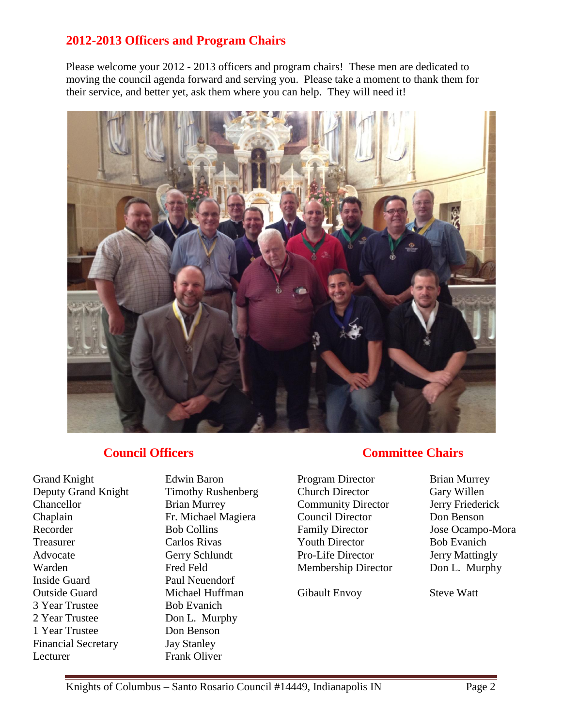### **2012-2013 Officers and Program Chairs**

Please welcome your 2012 - 2013 officers and program chairs! These men are dedicated to moving the council agenda forward and serving you. Please take a moment to thank them for their service, and better yet, ask them where you can help. They will need it!



### **Council Officers**

Grand Knight Edwin Baron Deputy Grand Knight Timothy Rushenberg Chancellor Brian Murrey Chaplain Fr. Michael Magiera Recorder Bob Collins Treasurer Carlos Rivas Advocate Gerry Schlundt Warden Fred Feld Inside Guard Paul Neuendorf Outside Guard Michael Huffman 3 Year Trustee Bob Evanich 2 Year Trustee Don L. Murphy 1 Year Trustee Don Benson Financial Secretary Jay Stanley Lecturer Frank Oliver

### **Committee Chairs**

Program Director Brian Murrey Church Director Gary Willen Community Director Jerry Friederick Council Director Don Benson Family Director Jose Ocampo-Mora Youth Director Bob Evanich Pro-Life Director Jerry Mattingly Membership Director Don L. Murphy

Gibault Envoy Steve Watt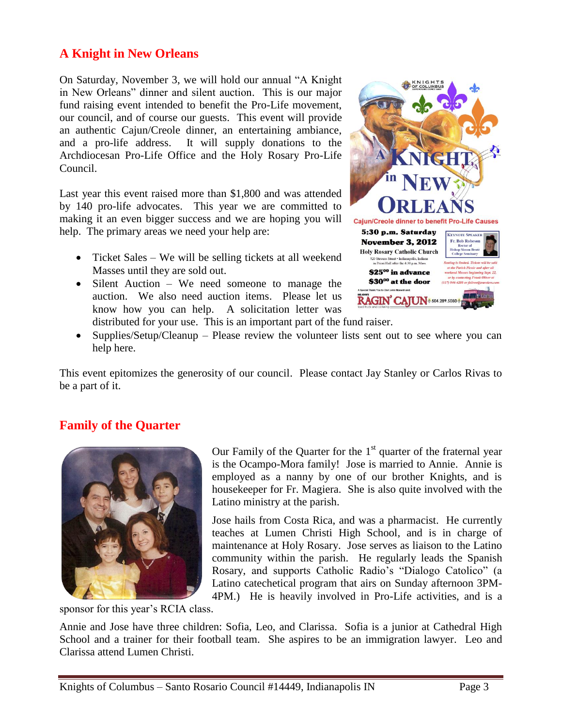# **A Knight in New Orleans**

On Saturday, November 3, we will hold our annual "A Knight in New Orleans" dinner and silent auction. This is our major fund raising event intended to benefit the Pro-Life movement, our council, and of course our guests. This event will provide an authentic Cajun/Creole dinner, an entertaining ambiance, and a pro-life address. It will supply donations to the Archdiocesan Pro-Life Office and the Holy Rosary Pro-Life Council.

Last year this event raised more than \$1,800 and was attended by 140 pro-life advocates. This year we are committed to making it an even bigger success and we are hoping you will help. The primary areas we need your help are:

- Ticket Sales We will be selling tickets at all weekend Masses until they are sold out.
- Silent Auction We need someone to manage the auction. We also need auction items. Please let us know how you can help. A solicitation letter was distributed for your use. This is an important part of the fund raiser.



• Supplies/Setup/Cleanup – Please review the volunteer lists sent out to see where you can help here.

This event epitomizes the generosity of our council. Please contact Jay Stanley or Carlos Rivas to be a part of it.

# **Family of the Quarter**



Our Family of the Quarter for the  $1<sup>st</sup>$  quarter of the fraternal year is the Ocampo-Mora family! Jose is married to Annie. Annie is employed as a nanny by one of our brother Knights, and is housekeeper for Fr. Magiera. She is also quite involved with the Latino ministry at the parish.

Jose hails from Costa Rica, and was a pharmacist. He currently teaches at Lumen Christi High School, and is in charge of maintenance at Holy Rosary. Jose serves as liaison to the Latino community within the parish. He regularly leads the Spanish Rosary, and supports Catholic Radio's "Dialogo Catolico" (a Latino catechetical program that airs on Sunday afternoon 3PM-4PM.) He is heavily involved in Pro-Life activities, and is a

sponsor for this year's RCIA class.

Annie and Jose have three children: Sofia, Leo, and Clarissa. Sofia is a junior at Cathedral High School and a trainer for their football team. She aspires to be an immigration lawyer. Leo and Clarissa attend Lumen Christi.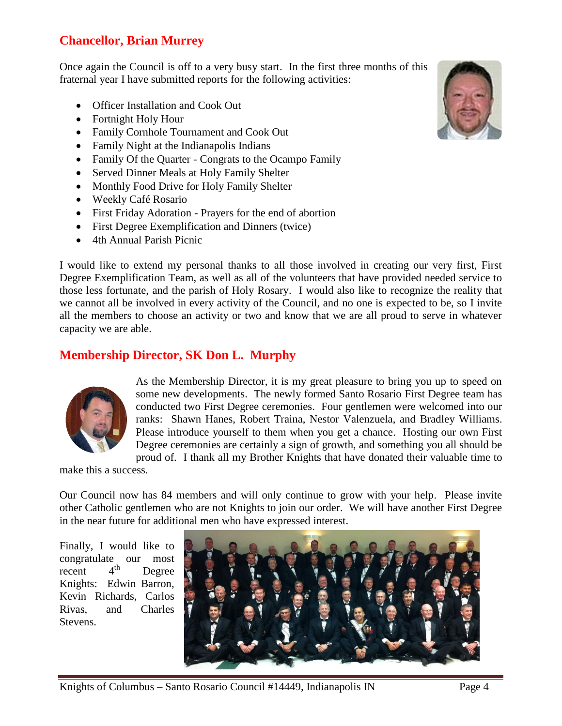# **Chancellor, Brian Murrey**

Once again the Council is off to a very busy start. In the first three months of this fraternal year I have submitted reports for the following activities:

- Officer Installation and Cook Out
- Fortnight Holy Hour
- Family Cornhole Tournament and Cook Out
- Family Night at the Indianapolis Indians
- Family Of the Quarter Congrats to the Ocampo Family
- Served Dinner Meals at Holy Family Shelter
- Monthly Food Drive for Holy Family Shelter
- Weekly Café Rosario
- First Friday Adoration Prayers for the end of abortion
- First Degree Exemplification and Dinners (twice)
- 4th Annual Parish Picnic

I would like to extend my personal thanks to all those involved in creating our very first, First Degree Exemplification Team, as well as all of the volunteers that have provided needed service to those less fortunate, and the parish of Holy Rosary. I would also like to recognize the reality that we cannot all be involved in every activity of the Council, and no one is expected to be, so I invite all the members to choose an activity or two and know that we are all proud to serve in whatever capacity we are able.

# **Membership Director, SK Don L. Murphy**



As the Membership Director, it is my great pleasure to bring you up to speed on some new developments. The newly formed Santo Rosario First Degree team has conducted two First Degree ceremonies. Four gentlemen were welcomed into our ranks: Shawn Hanes, Robert Traina, Nestor Valenzuela, and Bradley Williams. Please introduce yourself to them when you get a chance. Hosting our own First Degree ceremonies are certainly a sign of growth, and something you all should be proud of. I thank all my Brother Knights that have donated their valuable time to

make this a success.

Our Council now has 84 members and will only continue to grow with your help. Please invite other Catholic gentlemen who are not Knights to join our order. We will have another First Degree in the near future for additional men who have expressed interest.

Finally, I would like to congratulate our most<br>recent 4<sup>th</sup> Degree recent  $4<sup>th</sup>$  Degree Knights: Edwin Barron, Kevin Richards, Carlos Rivas, and Charles Stevens.



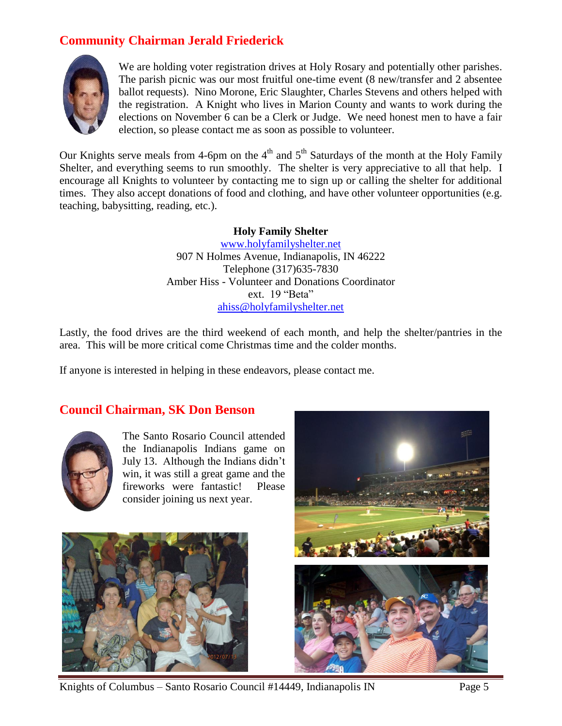# **Community Chairman Jerald Friederick**



We are holding voter registration drives at Holy Rosary and potentially other parishes. The parish picnic was our most fruitful one-time event (8 new/transfer and 2 absentee ballot requests). Nino Morone, Eric Slaughter, Charles Stevens and others helped with the registration. A Knight who lives in Marion County and wants to work during the elections on November 6 can be a Clerk or Judge. We need honest men to have a fair election, so please contact me as soon as possible to volunteer.

Our Knights serve meals from 4-6pm on the  $4<sup>th</sup>$  and  $5<sup>th</sup>$  Saturdays of the month at the Holy Family Shelter, and everything seems to run smoothly. The shelter is very appreciative to all that help. I encourage all Knights to volunteer by contacting me to sign up or calling the shelter for additional times. They also accept donations of food and clothing, and have other volunteer opportunities (e.g. teaching, babysitting, reading, etc.).

#### **Holy Family Shelter**

[www.holyfamilyshelter.net](http://www.holyfamilyshelter.net/) 907 N Holmes Avenue, Indianapolis, IN 46222 Telephone (317)635-7830 Amber Hiss - Volunteer and Donations Coordinator ext. 19 "Beta" [ahiss@holyfamilyshelter.net](mailto:ahiss@holyfamilyshelter.net)

Lastly, the food drives are the third weekend of each month, and help the shelter/pantries in the area. This will be more critical come Christmas time and the colder months.

If anyone is interested in helping in these endeavors, please contact me.

### **Council Chairman, SK Don Benson**



The Santo Rosario Council attended the Indianapolis Indians game on July 13. Although the Indians didn't win, it was still a great game and the fireworks were fantastic! Please consider joining us next year.



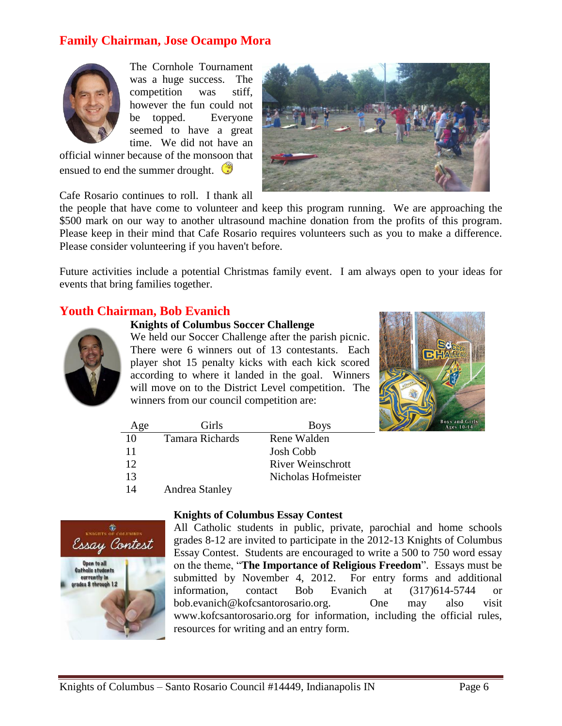### **Family Chairman, Jose Ocampo Mora**



The Cornhole Tournament was a huge success. The competition was stiff, however the fun could not be topped. Everyone seemed to have a great time. We did not have an

official winner because of the monsoon that ensued to end the summer drought.



Cafe Rosario continues to roll. I thank all

the people that have come to volunteer and keep this program running. We are approaching the \$500 mark on our way to another ultrasound machine donation from the profits of this program. Please keep in their mind that Cafe Rosario requires volunteers such as you to make a difference. Please consider volunteering if you haven't before.

Future activities include a potential Christmas family event. I am always open to your ideas for events that bring families together.

### **Youth Chairman, Bob Evanich**

#### **Knights of Columbus Soccer Challenge**



We held our Soccer Challenge after the parish picnic. There were 6 winners out of 13 contestants. Each player shot 15 penalty kicks with each kick scored according to where it landed in the goal. Winners will move on to the District Level competition. The winners from our council competition are:



| Age | Girls           | <b>Boys</b>              |  |
|-----|-----------------|--------------------------|--|
| 10  | Tamara Richards | Rene Walden              |  |
| 11  |                 | <b>Josh Cobb</b>         |  |
| 12  |                 | <b>River Weinschrott</b> |  |
| 13  |                 | Nicholas Hofmeister      |  |
| 14  | Andrea Stanley  |                          |  |



#### **Knights of Columbus Essay Contest**

All Catholic students in public, private, parochial and home schools grades 8-12 are invited to participate in the 2012-13 Knights of Columbus Essay Contest. Students are encouraged to write a 500 to 750 word essay on the theme, "**The Importance of Religious Freedom**". Essays must be submitted by November 4, 2012. For entry forms and additional information, contact Bob Evanich at (317)614-5744 or bob.evanich@kofcsantorosario.org. One may also visit www.kofcsantorosario.org for information, including the official rules, resources for writing and an entry form.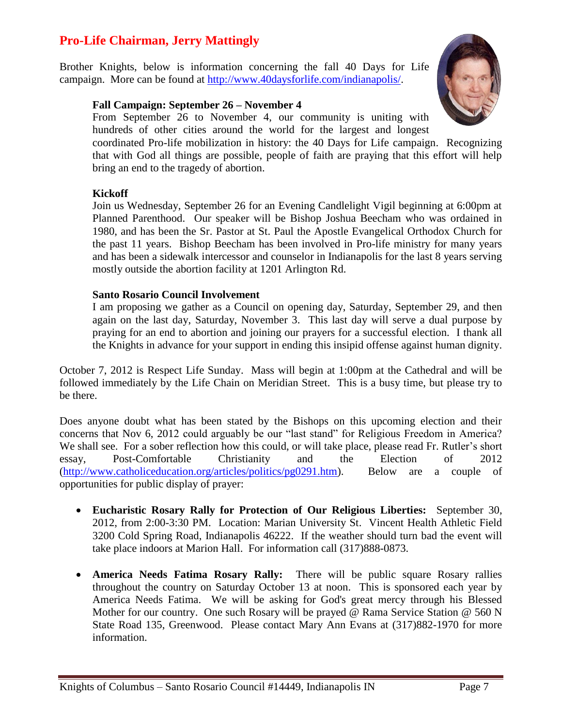# **Pro-Life Chairman, Jerry Mattingly**

Brother Knights, below is information concerning the fall 40 Days for Life campaign. More can be found at [http://www.40daysforlife.com/indianapolis/.](http://www.40daysforlife.com/indianapolis/)

#### **Fall Campaign: September 26 – November 4**

From September 26 to November 4, our community is uniting with hundreds of other cities around the world for the largest and longest

coordinated Pro-life mobilization in history: the 40 Days for Life campaign. Recognizing that with God all things are possible, people of faith are praying that this effort will help bring an end to the tragedy of abortion.

#### **Kickoff**

Join us Wednesday, September 26 for an Evening Candlelight Vigil beginning at 6:00pm at Planned Parenthood. Our speaker will be Bishop Joshua Beecham who was ordained in 1980, and has been the Sr. Pastor at St. Paul the Apostle Evangelical Orthodox Church for the past 11 years. Bishop Beecham has been involved in Pro-life ministry for many years and has been a sidewalk intercessor and counselor in Indianapolis for the last 8 years serving mostly outside the abortion facility at 1201 Arlington Rd.

#### **Santo Rosario Council Involvement**

I am proposing we gather as a Council on opening day, Saturday, September 29, and then again on the last day, Saturday, November 3. This last day will serve a dual purpose by praying for an end to abortion and joining our prayers for a successful election. I thank all the Knights in advance for your support in ending this insipid offense against human dignity.

October 7, 2012 is Respect Life Sunday. Mass will begin at 1:00pm at the Cathedral and will be followed immediately by the Life Chain on Meridian Street. This is a busy time, but please try to be there.

Does anyone doubt what has been stated by the Bishops on this upcoming election and their concerns that Nov 6, 2012 could arguably be our "last stand" for Religious Freedom in America? We shall see. For a sober reflection how this could, or will take place, please read Fr. Rutler's short essay, Post-Comfortable Christianity and the Election of 2012 [\(http://www.catholiceducation.org/articles/politics/pg0291.htm\)](http://www.catholiceducation.org/articles/politics/pg0291.htm). Below are a couple of opportunities for public display of prayer:

- **Eucharistic Rosary Rally for Protection of Our Religious Liberties:** September 30, 2012, from 2:00-3:30 PM. Location: Marian University St. Vincent Health Athletic Field 3200 Cold Spring Road, Indianapolis 46222. If the weather should turn bad the event will take place indoors at Marion Hall. For information call (317)888-0873.
- **America Needs Fatima Rosary Rally:** There will be public square Rosary rallies throughout the country on Saturday October 13 at noon. This is sponsored each year by America Needs Fatima. We will be asking for God's great mercy through his Blessed Mother for our country. One such Rosary will be prayed @ Rama Service Station @ 560 N State Road 135, Greenwood. Please contact Mary Ann Evans at (317)882-1970 for more information.

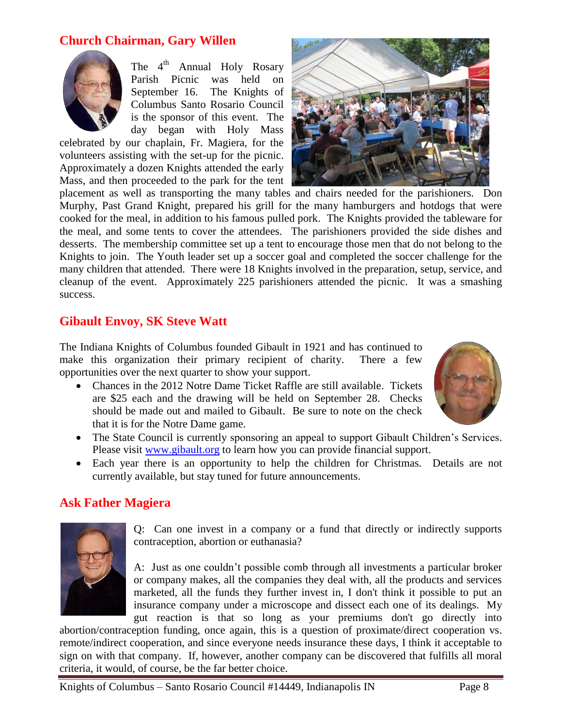### **Church Chairman, Gary Willen**



The  $4<sup>th</sup>$  Annual Holy Rosary Parish Picnic was held on September 16. The Knights of Columbus Santo Rosario Council is the sponsor of this event. The day began with Holy Mass

celebrated by our chaplain, Fr. Magiera, for the volunteers assisting with the set-up for the picnic. Approximately a dozen Knights attended the early Mass, and then proceeded to the park for the tent



placement as well as transporting the many tables and chairs needed for the parishioners. Don Murphy, Past Grand Knight, prepared his grill for the many hamburgers and hotdogs that were cooked for the meal, in addition to his famous pulled pork. The Knights provided the tableware for the meal, and some tents to cover the attendees. The parishioners provided the side dishes and desserts. The membership committee set up a tent to encourage those men that do not belong to the Knights to join. The Youth leader set up a soccer goal and completed the soccer challenge for the many children that attended. There were 18 Knights involved in the preparation, setup, service, and cleanup of the event. Approximately 225 parishioners attended the picnic. It was a smashing success.

### **Gibault Envoy, SK Steve Watt**

The Indiana Knights of Columbus founded Gibault in 1921 and has continued to make this organization their primary recipient of charity. There a few opportunities over the next quarter to show your support.

• Chances in the 2012 Notre Dame Ticket Raffle are still available. Tickets are \$25 each and the drawing will be held on September 28. Checks should be made out and mailed to Gibault. Be sure to note on the check that it is for the Notre Dame game.



- The State Council is currently sponsoring an appeal to support Gibault Children's Services. Please visit [www.gibault.org](http://www.gibault.org/) to learn how you can provide financial support.
- Each year there is an opportunity to help the children for Christmas. Details are not currently available, but stay tuned for future announcements.

### **Ask Father Magiera**



Q: Can one invest in a company or a fund that directly or indirectly supports contraception, abortion or euthanasia?

A: Just as one couldn't possible comb through all investments a particular broker or company makes, all the companies they deal with, all the products and services marketed, all the funds they further invest in, I don't think it possible to put an insurance company under a microscope and dissect each one of its dealings. My gut reaction is that so long as your premiums don't go directly into

abortion/contraception funding, once again, this is a question of proximate/direct cooperation vs. remote/indirect cooperation, and since everyone needs insurance these days, I think it acceptable to sign on with that company. If, however, another company can be discovered that fulfills all moral criteria, it would, of course, be the far better choice.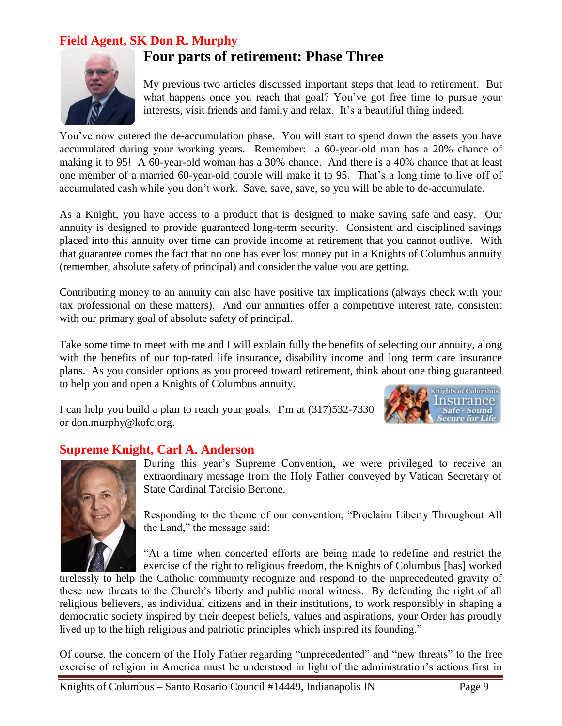### **Field Agent, SK Don R. Murphy**



# **Four parts of retirement: Phase Three**

My previous two articles discussed important steps that lead to retirement. But what happens once you reach that goal? You've got free time to pursue your interests, visit friends and family and relax. It's a beautiful thing indeed.

You've now entered the de-accumulation phase. You will start to spend down the assets you have accumulated during your working years. Remember: a 60-year-old man has a 20% chance of making it to 95! A 60-year-old woman has a 30% chance. And there is a 40% chance that at least one member of a married 60-year-old couple will make it to 95. That's a long time to live off of accumulated cash while you don't work. Save, save, save, so you will be able to de-accumulate.

As a Knight, you have access to a product that is designed to make saving safe and easy. Our annuity is designed to provide guaranteed long-term security. Consistent and disciplined savings placed into this annuity over time can provide income at retirement that you cannot outlive. With that guarantee comes the fact that no one has ever lost money put in a Knights of Columbus annuity (remember, absolute safety of principal) and consider the value you are getting.

Contributing money to an annuity can also have positive tax implications (always check with your tax professional on these matters). And our annuities offer a competitive interest rate, consistent with our primary goal of absolute safety of principal.

Take some time to meet with me and I will explain fully the benefits of selecting our annuity, along with the benefits of our top-rated life insurance, disability income and long term care insurance plans. As you consider options as you proceed toward retirement, think about one thing guaranteed to help you and open a Knights of Columbus annuity.

I can help you build a plan to reach your goals. I'm at (317)532-7330 or don.murphy@kofc.org.



### **Supreme Knight, Carl A. Anderson**



During this year's Supreme Convention, we were privileged to receive an extraordinary message from the Holy Father conveyed by Vatican Secretary of State Cardinal Tarcisio Bertone.

Responding to the theme of our convention, "Proclaim Liberty Throughout All the Land," the message said:

"At a time when concerted efforts are being made to redefine and restrict the exercise of the right to religious freedom, the Knights of Columbus [has] worked

tirelessly to help the Catholic community recognize and respond to the unprecedented gravity of these new threats to the Church's liberty and public moral witness. By defending the right of all religious believers, as individual citizens and in their institutions, to work responsibly in shaping a democratic society inspired by their deepest beliefs, values and aspirations, your Order has proudly lived up to the high religious and patriotic principles which inspired its founding."

Of course, the concern of the Holy Father regarding "unprecedented" and "new threats" to the free exercise of religion in America must be understood in light of the administration's actions first in